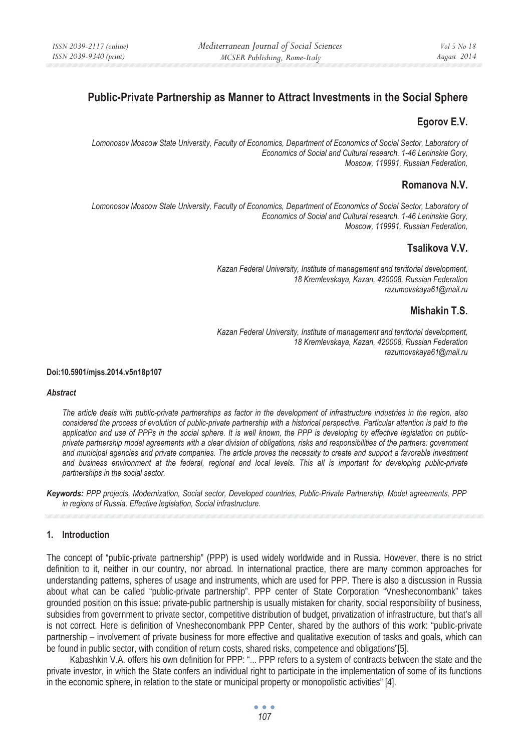# **Public-Private Partnership as Manner to Attract Investments in the Social Sphere**

## **Egorov E.V.**

Lomonosov Moscow State University, Faculty of Economics, Department of Economics of Social Sector, Laboratory of *Economics of Social and Cultural research. 1-46 Leninskie Gory, Moscow, 119991, Russian Federation,* 

## **Romanova N.V.**

 *Lomonosov Moscow State University, Faculty of Economics, Department of Economics of Social Sector, Laboratory of Economics of Social and Cultural research. 1-46 Leninskie Gory, Moscow, 119991, Russian Federation,* 

## **Tsalikova V.V.**

*Kazan Federal University, Institute of management and territorial development, 18 Kremlevskaya, Kazan, 420008, Russian Federation razumovskaya61@mail.ru* 

## **Mishakin T.S.**

*Kazan Federal University, Institute of management and territorial development, 18 Kremlevskaya, Kazan, 420008, Russian Federation razumovskaya61@mail.ru* 

#### **Doi:10.5901/mjss.2014.v5n18p107**

#### *Abstract*

*The article deals with public-private partnerships as factor in the development of infrastructure industries in the region, also considered the process of evolution of public-private partnership with a historical perspective. Particular attention is paid to the application and use of PPPs in the social sphere. It is well known, the PPP is developing by effective legislation on publicprivate partnership model agreements with a clear division of obligations, risks and responsibilities of the partners: government and municipal agencies and private companies. The article proves the necessity to create and support a favorable investment and business environment at the federal, regional and local levels. This all is important for developing public-private partnerships in the social sector.* 

*Keywords: PPP projects, Modernization, Social sector, Developed countries, Public-Private Partnership, Model agreements, PPP in regions of Russia, Effective legislation, Social infrastructure.* 

### **1. Introduction**

The concept of "public-private partnership" (PPP) is used widely worldwide and in Russia. However, there is no strict definition to it, neither in our country, nor abroad. In international practice, there are many common approaches for understanding patterns, spheres of usage and instruments, which are used for PPP. There is also a discussion in Russia about what can be called "public-private partnership". PPP center of State Corporation "Vnesheconombank" takes grounded position on this issue: private-public partnership is usually mistaken for charity, social responsibility of business, subsidies from government to private sector, competitive distribution of budget, privatization of infrastructure, but that's all is not correct. Here is definition of Vnesheconombank PPP Center, shared by the authors of this work: "public-private partnership – involvement of private business for more effective and qualitative execution of tasks and goals, which can be found in public sector, with condition of return costs, shared risks, competence and obligations"[5].

Kabashkin V.A. offers his own definition for PPP: "... PPP refers to a system of contracts between the state and the private investor, in which the State confers an individual right to participate in the implementation of some of its functions in the economic sphere, in relation to the state or municipal property or monopolistic activities" [4].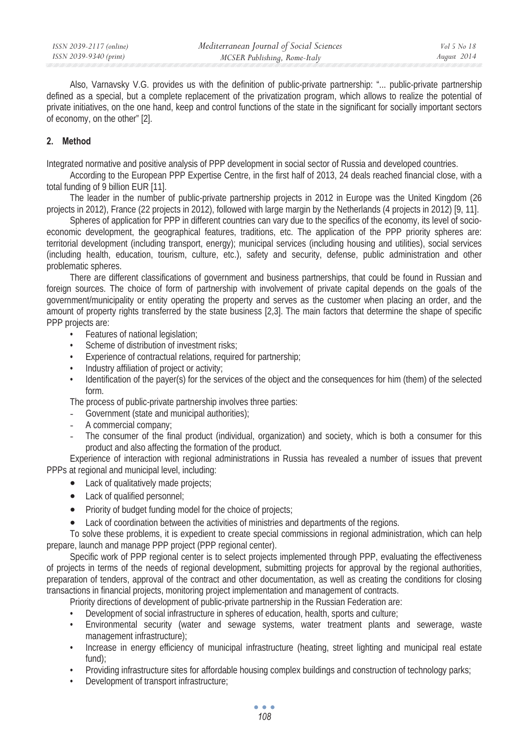Also, Varnavsky V.G. provides us with the definition of public-private partnership: "... public-private partnership defined as a special, but a complete replacement of the privatization program, which allows to realize the potential of private initiatives, on the one hand, keep and control functions of the state in the significant for socially important sectors of economy, on the other" [2].

## **2. Method**

Integrated normative and positive analysis of PPP development in social sector of Russia and developed countries.

According to the European PPP Expertise Centre, in the first half of 2013, 24 deals reached financial close, with a total funding of 9 billion EUR [11].

The leader in the number of public-private partnership projects in 2012 in Europe was the United Kingdom (26 projects in 2012), France (22 projects in 2012), followed with large margin by the Netherlands (4 projects in 2012) [9, 11].

Spheres of application for PPP in different countries can vary due to the specifics of the economy, its level of socioeconomic development, the geographical features, traditions, etc. The application of the PPP priority spheres are: territorial development (including transport, energy); municipal services (including housing and utilities), social services (including health, education, tourism, culture, etc.), safety and security, defense, public administration and other problematic spheres.

There are different classifications of government and business partnerships, that could be found in Russian and foreign sources. The choice of form of partnership with involvement of private capital depends on the goals of the government/municipality or entity operating the property and serves as the customer when placing an order, and the amount of property rights transferred by the state business [2,3]. The main factors that determine the shape of specific PPP projects are:

- Features of national legislation;
- Scheme of distribution of investment risks:
- Experience of contractual relations, required for partnership;
- Industry affiliation of project or activity;
- Identification of the payer(s) for the services of the object and the consequences for him (them) of the selected form.

The process of public-private partnership involves three parties:

- Government (state and municipal authorities);
- A commercial company;
- The consumer of the final product (individual, organization) and society, which is both a consumer for this product and also affecting the formation of the product.

Experience of interaction with regional administrations in Russia has revealed a number of issues that prevent PPPs at regional and municipal level, including:

- Lack of qualitatively made projects;
	- Lack of qualified personnel:
	- Priority of budget funding model for the choice of projects;
	- Lack of coordination between the activities of ministries and departments of the regions.

To solve these problems, it is expedient to create special commissions in regional administration, which can help prepare, launch and manage PPP project (PPP regional center).

Specific work of PPP regional center is to select projects implemented through PPP, evaluating the effectiveness of projects in terms of the needs of regional development, submitting projects for approval by the regional authorities, preparation of tenders, approval of the contract and other documentation, as well as creating the conditions for closing transactions in financial projects, monitoring project implementation and management of contracts.

Priority directions of development of public-private partnership in the Russian Federation are:

- Development of social infrastructure in spheres of education, health, sports and culture;
- Environmental security (water and sewage systems, water treatment plants and sewerage, waste management infrastructure);
- Increase in energy efficiency of municipal infrastructure (heating, street lighting and municipal real estate fund);
- Providing infrastructure sites for affordable housing complex buildings and construction of technology parks;
- Development of transport infrastructure;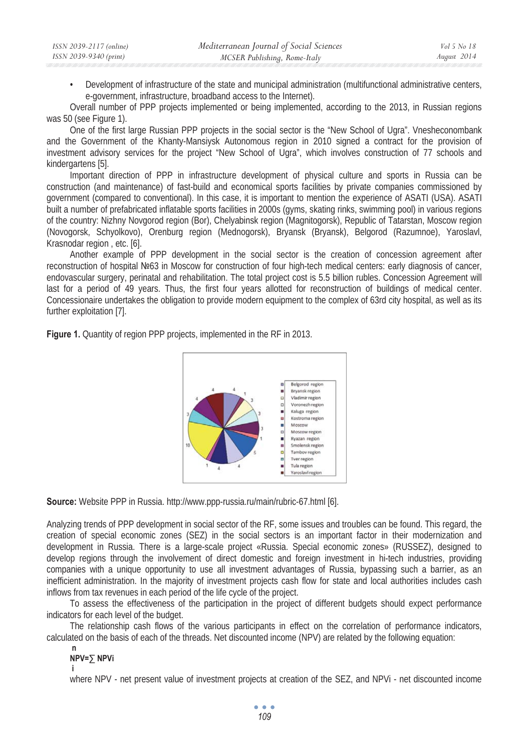• Development of infrastructure of the state and municipal administration (multifunctional administrative centers, e-government, infrastructure, broadband access to the Internet).

Overall number of PPP projects implemented or being implemented, according to the 2013, in Russian regions was 50 (see Figure 1).

One of the first large Russian PPP projects in the social sector is the "New School of Ugra". Vnesheconombank and the Government of the Khanty-Mansiysk Autonomous region in 2010 signed a contract for the provision of investment advisory services for the project "New School of Ugra", which involves construction of 77 schools and kindergartens [5].

Important direction of PPP in infrastructure development of physical culture and sports in Russia can be construction (and maintenance) of fast-build and economical sports facilities by private companies commissioned by government (compared to conventional). In this case, it is important to mention the experience of ASATI (USA). ASATI built a number of prefabricated inflatable sports facilities in 2000s (gyms, skating rinks, swimming pool) in various regions of the country: Nizhny Novgorod region (Bor), Chelyabinsk region (Magnitogorsk), Republic of Tatarstan, Moscow region (Novogorsk, Schyolkovo), Orenburg region (Mednogorsk), Bryansk (Bryansk), Belgorod (Razumnoe), Yaroslavl, Krasnodar region , etc. [6].

Another example of PPP development in the social sector is the creation of concession agreement after reconstruction of hospital ʋ63 in Moscow for construction of four high-tech medical centers: early diagnosis of cancer, endovascular surgery, perinatal and rehabilitation. The total project cost is 5.5 billion rubles. Concession Agreement will last for a period of 49 years. Thus, the first four years allotted for reconstruction of buildings of medical center. Concessionaire undertakes the obligation to provide modern equipment to the complex of 63rd city hospital, as well as its further exploitation [7].

**Figure 1.** Quantity of region PPP projects, implemented in the RF in 2013.



**Source:** Website PPP in Russia. http://www.ppp-russia.ru/main/rubric-67.html [6].

Analyzing trends of PPP development in social sector of the RF, some issues and troubles can be found. This regard, the creation of special economic zones (SEZ) in the social sectors is an important factor in their modernization and development in Russia. There is a large-scale project «Russia. Special economic zones» (RUSSEZ), designed to develop regions through the involvement of direct domestic and foreign investment in hi-tech industries, providing companies with a unique opportunity to use all investment advantages of Russia, bypassing such a barrier, as an inefficient administration. In the majority of investment projects cash flow for state and local authorities includes cash inflows from tax revenues in each period of the life cycle of the project.

To assess the effectiveness of the participation in the project of different budgets should expect performance indicators for each level of the budget.

The relationship cash flows of the various participants in effect on the correlation of performance indicators, calculated on the basis of each of the threads. Net discounted income (NPV) are related by the following equation:

#### **n NPV= NPVi**

 **i** 

where NPV - net present value of investment projects at creation of the SEZ, and NPVi - net discounted income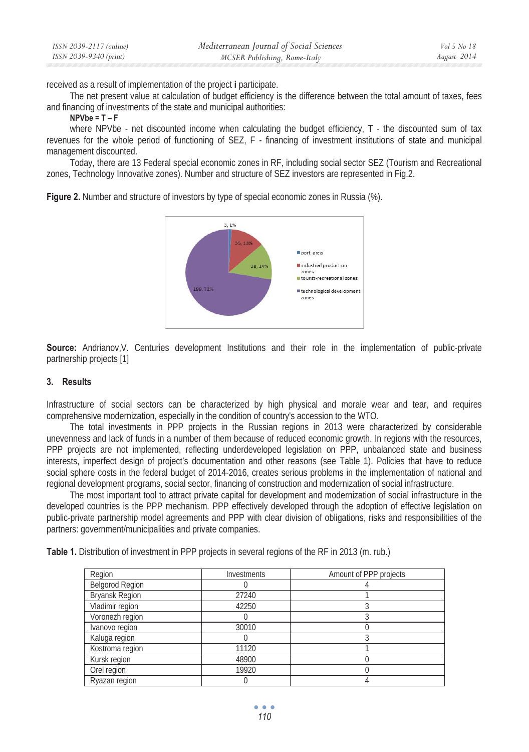| ISSN 2039-2117 (online) | Mediterranean Journal of Social Sciences | Vol 5 No 18 |
|-------------------------|------------------------------------------|-------------|
| ISSN 2039-9340 (print)  | MCSER Publishing, Rome-Italy             | August 2014 |

received as a result of implementation of the project **i** participate.

The net present value at calculation of budget efficiency is the difference between the total amount of taxes, fees and financing of investments of the state and municipal authorities:

#### **NPVbe = T – F**

where NPVbe - net discounted income when calculating the budget efficiency, T - the discounted sum of tax revenues for the whole period of functioning of SEZ, F - financing of investment institutions of state and municipal management discounted.

Today, there are 13 Federal special economic zones in RF, including social sector SEZ (Tourism and Recreational zones, Technology Innovative zones). Number and structure of SEZ investors are represented in Fig.2.

**Figure 2.** Number and structure of investors by type of special economic zones in Russia (%).



**Source:** Andrianov, V. Centuries development Institutions and their role in the implementation of public-private partnership projects [1]

### **3. Results**

Infrastructure of social sectors can be characterized by high physical and morale wear and tear, and requires comprehensive modernization, especially in the condition of country's accession to the WTO.

The total investments in PPP projects in the Russian regions in 2013 were characterized by considerable unevenness and lack of funds in a number of them because of reduced economic growth. In regions with the resources, PPP projects are not implemented, reflecting underdeveloped legislation on PPP, unbalanced state and business interests, imperfect design of project's documentation and other reasons (see Table 1). Policies that have to reduce social sphere costs in the federal budget of 2014-2016, creates serious problems in the implementation of national and regional development programs, social sector, financing of construction and modernization of social infrastructure.

The most important tool to attract private capital for development and modernization of social infrastructure in the developed countries is the PPP mechanism. PPP effectively developed through the adoption of effective legislation on public-private partnership model agreements and PPP with clear division of obligations, risks and responsibilities of the partners: government/municipalities and private companies.

|  | Table 1. Distribution of investment in PPP projects in several regions of the RF in 2013 (m. rub.) |  |
|--|----------------------------------------------------------------------------------------------------|--|
|--|----------------------------------------------------------------------------------------------------|--|

| Region                 | Investments | Amount of PPP projects |
|------------------------|-------------|------------------------|
| <b>Belgorod Region</b> |             |                        |
| <b>Bryansk Region</b>  | 27240       |                        |
| Vladimir region        | 42250       |                        |
| Voronezh region        |             |                        |
| Ivanovo region         | 30010       |                        |
| Kaluga region          |             |                        |
| Kostroma region        | 11120       |                        |
| Kursk region           | 48900       |                        |
| Orel region            | 19920       |                        |
| Ryazan region          |             |                        |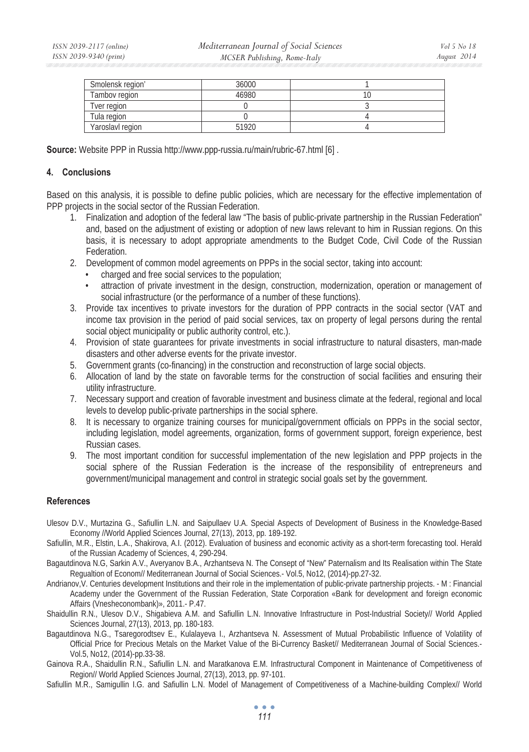| Smolensk region' | 36000 |  |
|------------------|-------|--|
| Tambov region    | 46980 |  |
| Tver reaion      |       |  |
| Tula region      |       |  |
| Yaroslavl region | 51920 |  |

**Source:** Website PPP in Russia http://www.ppp-russia.ru/main/rubric-67.html [6].

## **4. Conclusions**

Based on this analysis, it is possible to define public policies, which are necessary for the effective implementation of PPP projects in the social sector of the Russian Federation.

- 1. Finalization and adoption of the federal law "The basis of public-private partnership in the Russian Federation" and, based on the adjustment of existing or adoption of new laws relevant to him in Russian regions. On this basis, it is necessary to adopt appropriate amendments to the Budget Code, Civil Code of the Russian Federation.
- 2. Development of common model agreements on PPPs in the social sector, taking into account:
	- charged and free social services to the population;
	- attraction of private investment in the design, construction, modernization, operation or management of social infrastructure (or the performance of a number of these functions).
- 3. Provide tax incentives to private investors for the duration of PPP contracts in the social sector (VAT and income tax provision in the period of paid social services, tax on property of legal persons during the rental social object municipality or public authority control, etc.).
- 4. Provision of state guarantees for private investments in social infrastructure to natural disasters, man-made disasters and other adverse events for the private investor.
- 5. Government grants (co-financing) in the construction and reconstruction of large social objects.
- 6. Allocation of land by the state on favorable terms for the construction of social facilities and ensuring their utility infrastructure.
- 7. Necessary support and creation of favorable investment and business climate at the federal, regional and local levels to develop public-private partnerships in the social sphere.
- 8. It is necessary to organize training courses for municipal/government officials on PPPs in the social sector, including legislation, model agreements, organization, forms of government support, foreign experience, best Russian cases.
- 9. The most important condition for successful implementation of the new legislation and PPP projects in the social sphere of the Russian Federation is the increase of the responsibility of entrepreneurs and government/municipal management and control in strategic social goals set by the government.

### **References**

- Ulesov D.V., Murtazina G., Safiullin L.N. and Saipullaev U.A. Special Aspects of Development of Business in the Knowledge-Based Economy //World Applied Sciences Journal, 27(13), 2013, pp. 189-192.
- Safiullin, M.R., Elstin, L.A., Shakirova, A.I. (2012). Evaluation of business and economic activity as a short-term forecasting tool. Herald of the Russian Academy of Sciences, 4, 290-294.
- Bagautdinova N.G, Sarkin A.V., Averyanov B.A., Arzhantseva N. The Consept of "New" Paternalism and Its Realisation within The State Regualtion of Econom// Mediterranean Journal of Social Sciences.- Vol.5, No12, (2014)-pp.27-32.
- Andrianov,V. Centuries development Institutions and their role in the implementation of public-private partnership projects. M : Financial Academy under the Government of the Russian Federation, State Corporation «Bank for development and foreign economic Affairs (Vnesheconombank)», 2011.- P.47.
- Shaidullin R.N., Ulesov D.V., Shigabieva A.M. and Safiullin L.N. Innovative Infrastructure in Post-Industrial Society// World Applied Sciences Journal, 27(13), 2013, pp. 180-183.
- Bagautdinova N.G., Tsaregorodtsev E., Kulalayeva I., Arzhantseva N. Assessment of Mutual Probabilistic Influence of Volatility of Official Price for Precious Metals on the Market Value of the Bi-Currency Basket// Mediterranean Journal of Social Sciences.- Vol.5, No12, (2014)-pp.33-38.
- Gainova R.A., Shaidullin R.N., Safiullin L.N. and Maratkanova E.M. Infrastructural Component in Maintenance of Competitiveness of Region// World Applied Sciences Journal, 27(13), 2013, pp. 97-101.
- Safiullin M.R., Samigullin I.G. and Safiullin L.N. Model of Management of Competitiveness of a Machine-building Complex// World